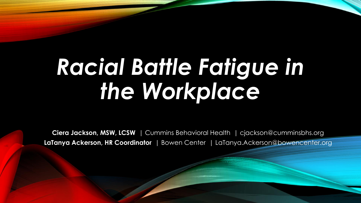# *Racial Battle Fatigue in the Workplace*

**Ciera Jackson, MSW, LCSW** | Cummins Behavioral Health | cjackson@cumminsbhs.org **LaTanya Ackerson, HR Coordinator** | Bowen Center | LaTanya.Ackerson@bowencenter.org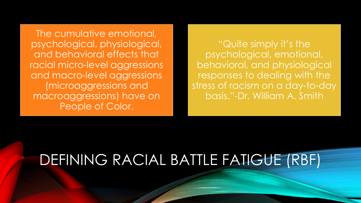The cumulative emotional, psychological, physiological, and behavioral effects that racial micro-level aggressions and macro-level aggressions (microaggressions and macroaggressions) have on People of Color.

"Quite simply it's the psychological, emotional, behavioral, and physiological responses to dealing with the stress of racism on a day-to-day basis."-Dr. William A. Smith

# DEFINING RACIAL BATTLE FATIGUE (RBF)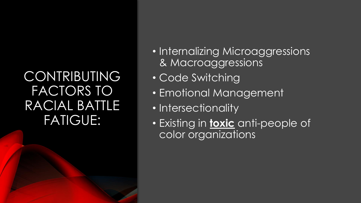### **CONTRIBUTING** FACTORS TO RACIAL BATTLE FATIGUE:

- Internalizing Microaggressions & Macroaggressions
- Code Switching
- Emotional Management
- Intersectionality
- Existing in **toxic** anti-people of color organizations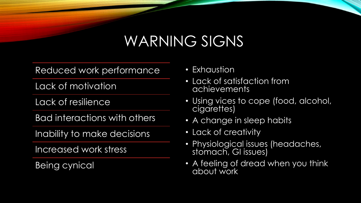### WARNING SIGNS

Reduced work performance

Lack of motivation

Lack of resilience

Bad interactions with others

Inability to make decisions

Increased work stress

Being cynical

- Exhaustion
- Lack of satisfaction from achievements
- Using vices to cope (food, alcohol, cigarettes)
- A change in sleep habits
- Lack of creativity
- Physiological issues (headaches, stomach, GI issues)
- A feeling of dread when you think about work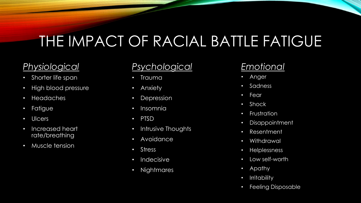# THE IMPACT OF RACIAL BATTLE FATIGUE

#### *Physiological*

- Shorter life span
- High blood pressure
- Headaches
- Fatigue
- Ulcers
- Increased heart rate/breathing
- Muscle tension

#### *Psychological*

- Trauma
- Anxiety
- Depression
- Insomnia
- PTSD
- Intrusive Thoughts
- Avoidance
- Stress
- Indecisive
- Nightmares

#### *Emotional*

- Anger
- Sadness
- Fear
- Shock
- **Frustration**
- Disappointment
- Resentment
- Withdrawal
- Helplessness
- Low self-worth
- Apathy
- Irritability
- Feeling Disposable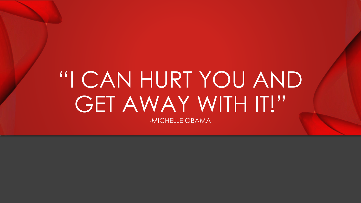# "I CAN HURT YOU AND GET AWAY WITH IT!" -MICHELLE OBAMA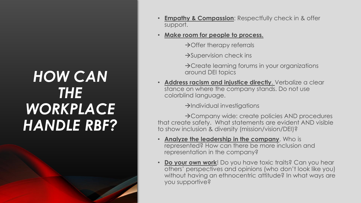## *HOW CAN THE WORKPLACE HANDLE RBF?*

- **Empathy & Compassion:** Respectfully check in & offer support.
- **Make room for people to process.**
	- →Offer therapy referrals
	- $\rightarrow$ Supervision check ins
	- $\rightarrow$ Create learning forums in your organizations around DEI topics
- **Address racism and injustice directly**. Verbalize a clear stance on where the company stands. Do not use colorblind language.
	- $\rightarrow$ Individual investigations

→Company wide: create policies AND procedures that create safety. What statements are evident AND visible to show inclusion & diversity (mission/vision/DEI)?

- **Analyze the leadership in the company**. Who is represented? How can there be more inclusion and representation in the company?
- **Do your own work**! Do you have toxic traits? Can you hear others' perspectives and opinions (who don't look like you) without having an ethnocentric attitude? In what ways are you supportive?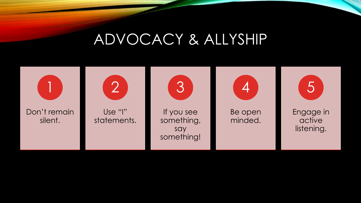### ADVOCACY & ALLYSHIP